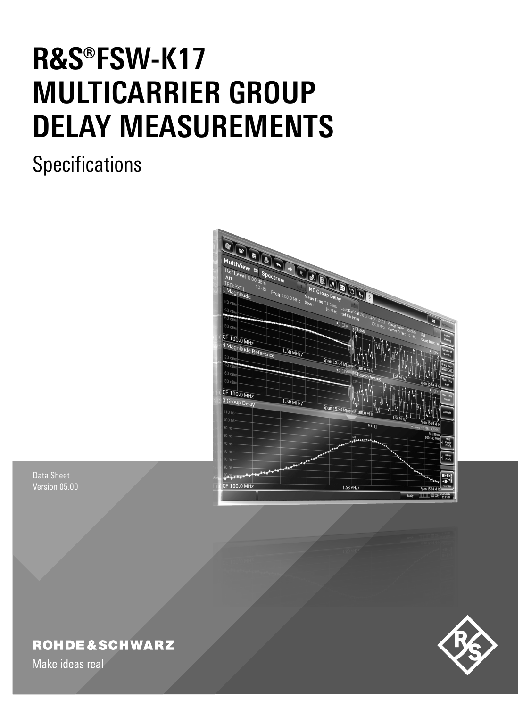# **R&S®FSW-K17 MULTICARRIER GROUP DELAY MEASUREMENTS**

## **Specifications**



Data Sheet Version 05.00

## **ROHDE&SCHWARZ**

Make ideas real

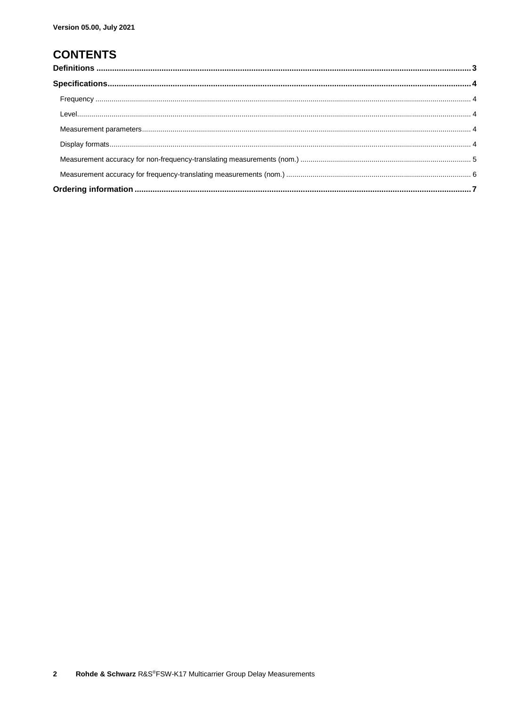## **CONTENTS**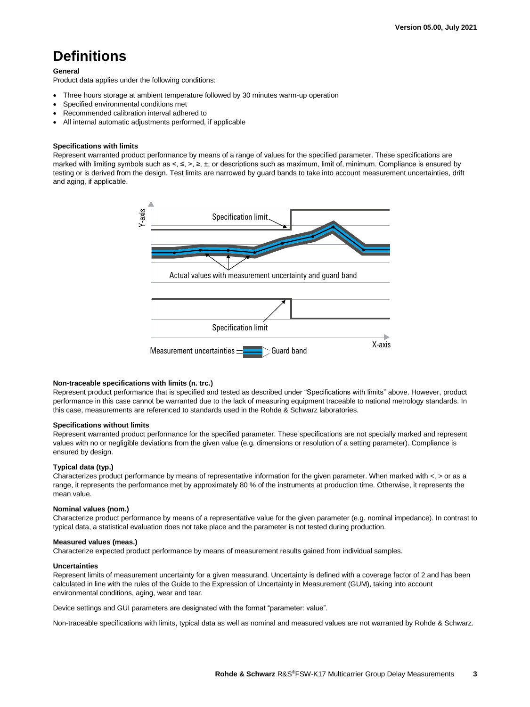## <span id="page-2-0"></span>**Definitions**

#### **General**

Product data applies under the following conditions:

- Three hours storage at ambient temperature followed by 30 minutes warm-up operation
- Specified environmental conditions met
- Recommended calibration interval adhered to
- All internal automatic adjustments performed, if applicable

#### **Specifications with limits**

Represent warranted product performance by means of a range of values for the specified parameter. These specifications are marked with limiting symbols such as <, ≤, >, ≥, ±, or descriptions such as maximum, limit of, minimum. Compliance is ensured by testing or is derived from the design. Test limits are narrowed by guard bands to take into account measurement uncertainties, drift and aging, if applicable.



#### **Non-traceable specifications with limits (n. trc.)**

Represent product performance that is specified and tested as described under "Specifications with limits" above. However, product performance in this case cannot be warranted due to the lack of measuring equipment traceable to national metrology standards. In this case, measurements are referenced to standards used in the Rohde & Schwarz laboratories.

#### **Specifications without limits**

Represent warranted product performance for the specified parameter. These specifications are not specially marked and represent values with no or negligible deviations from the given value (e.g. dimensions or resolution of a setting parameter). Compliance is ensured by design.

#### **Typical data (typ.)**

Characterizes product performance by means of representative information for the given parameter. When marked with  $\lt$ ,  $>$  or as a range, it represents the performance met by approximately 80 % of the instruments at production time. Otherwise, it represents the mean value.

#### **Nominal values (nom.)**

Characterize product performance by means of a representative value for the given parameter (e.g. nominal impedance). In contrast to typical data, a statistical evaluation does not take place and the parameter is not tested during production.

#### **Measured values (meas.)**

Characterize expected product performance by means of measurement results gained from individual samples.

#### **Uncertainties**

Represent limits of measurement uncertainty for a given measurand. Uncertainty is defined with a coverage factor of 2 and has been calculated in line with the rules of the Guide to the Expression of Uncertainty in Measurement (GUM), taking into account environmental conditions, aging, wear and tear.

Device settings and GUI parameters are designated with the format "parameter: value".

Non-traceable specifications with limits, typical data as well as nominal and measured values are not warranted by Rohde & Schwarz.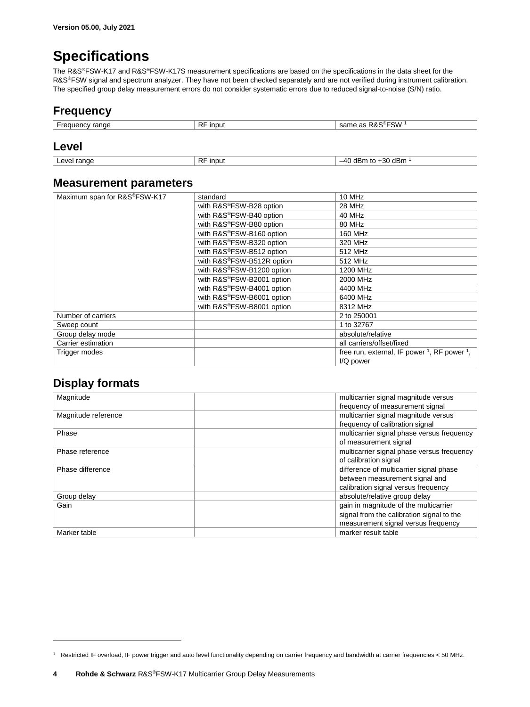## <span id="page-3-0"></span>**Specifications**

The R&S®FSW-K17 and R&S®FSW-K17S measurement specifications are based on the specifications in the data sheet for the R&S®FSW signal and spectrum analyzer. They have not been checked separately and are not verified during instrument calibration. The specified group delay measurement errors do not consider systematic errors due to reduced signal-to-noise (S/N) ratio.

## <span id="page-3-1"></span>**Frequency**

<span id="page-3-2"></span>

| -requencv range | <b>RF</b><br>input | R&S®FSW⊹<br>same as |
|-----------------|--------------------|---------------------|

#### <span id="page-3-5"></span>**Level**

```
Level range RF input 1} \\ -40 \text{ dBm to } +30 \text{ dBm}^{-1} \end{array} \right|
```
#### **Measurement parameters**

| Maximum span for R&S®FSW-K17 | standard                  | 10 MHz                                                              |  |
|------------------------------|---------------------------|---------------------------------------------------------------------|--|
|                              | with R&S®FSW-B28 option   | 28 MHz                                                              |  |
|                              | with R&S®FSW-B40 option   | 40 MHz                                                              |  |
|                              | with R&S®FSW-B80 option   | 80 MHz                                                              |  |
|                              | with R&S®FSW-B160 option  | 160 MHz                                                             |  |
|                              | with R&S®FSW-B320 option  | 320 MHz                                                             |  |
|                              | with R&S®FSW-B512 option  | 512 MHz                                                             |  |
|                              | with R&S®FSW-B512R option | 512 MHz                                                             |  |
|                              | with R&S®FSW-B1200 option | 1200 MHz                                                            |  |
|                              | with R&S®FSW-B2001 option | 2000 MHz                                                            |  |
|                              | with R&S®FSW-B4001 option | 4400 MHz                                                            |  |
|                              | with R&S®FSW-B6001 option | 6400 MHz                                                            |  |
|                              | with R&S®FSW-B8001 option | 8312 MHz                                                            |  |
| Number of carriers           |                           | 2 to 250001                                                         |  |
| Sweep count                  |                           | 1 to 32767                                                          |  |
| Group delay mode             |                           | absolute/relative                                                   |  |
| Carrier estimation           |                           | all carriers/offset/fixed                                           |  |
| Trigger modes                |                           | free run, external, IF power <sup>1</sup> , RF power <sup>1</sup> , |  |
|                              |                           | I/Q power                                                           |  |

### <span id="page-3-4"></span>**Display formats**

 $\overline{a}$ 

| Magnitude           | multicarrier signal magnitude versus       |
|---------------------|--------------------------------------------|
|                     | frequency of measurement signal            |
| Magnitude reference | multicarrier signal magnitude versus       |
|                     | frequency of calibration signal            |
| Phase               | multicarrier signal phase versus frequency |
|                     | of measurement signal                      |
| Phase reference     | multicarrier signal phase versus frequency |
|                     | of calibration signal                      |
| Phase difference    | difference of multicarrier signal phase    |
|                     | between measurement signal and             |
|                     | calibration signal versus frequency        |
| Group delay         | absolute/relative group delay              |
| Gain                | gain in magnitude of the multicarrier      |
|                     | signal from the calibration signal to the  |
|                     | measurement signal versus frequency        |
| Marker table        | marker result table                        |

<sup>1</sup> Restricted IF overload, IF power trigger and auto level functionality depending on carrier frequency and bandwidth at carrier frequencies < 50 MHz.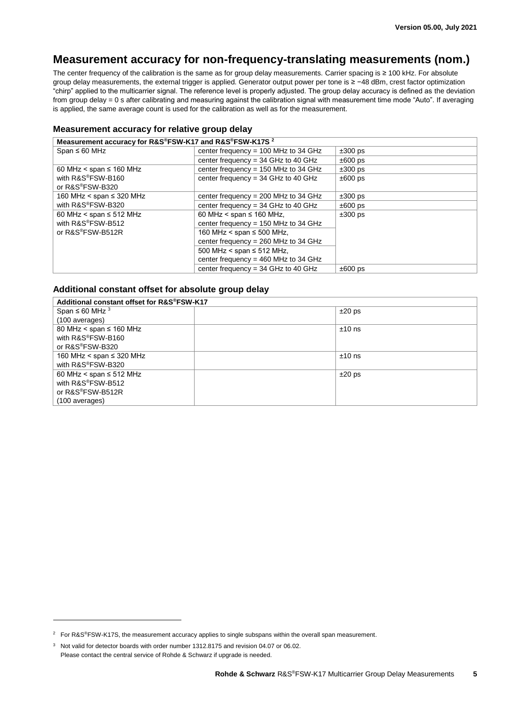## <span id="page-4-0"></span>**Measurement accuracy for non-frequency-translating measurements (nom.)**

The center frequency of the calibration is the same as for group delay measurements. Carrier spacing is ≥ 100 kHz. For absolute group delay measurements, the external trigger is applied. Generator output power per tone is ≥ −48 dBm, crest factor optimization "chirp" applied to the multicarrier signal. The reference level is properly adjusted. The group delay accuracy is defined as the deviation from group delay = 0 s after calibrating and measuring against the calibration signal with measurement time mode "Auto". If averaging is applied, the same average count is used for the calibration as well as for the measurement.

#### **Measurement accuracy for relative group delay**

| Measurement accuracy for R&S®FSW-K17 and R&S®FSW-K17S <sup>2</sup>    |                                        |              |  |
|-----------------------------------------------------------------------|----------------------------------------|--------------|--|
| Span $\leq 60$ MHz                                                    | center frequency = $100$ MHz to 34 GHz | $\pm 300$ ps |  |
|                                                                       | center frequency = $34$ GHz to 40 GHz  | $±600$ ps    |  |
| 60 MHz < span $\leq$ 160 MHz                                          | center frequency = $150$ MHz to 34 GHz | $\pm 300$ ps |  |
| with R&S®FSW-B160                                                     | center frequency = $34$ GHz to 40 GHz  | $±600$ ps    |  |
| or R&S®FSW-B320                                                       |                                        |              |  |
| 160 MHz < span ≤ 320 MHz                                              | center frequency = $200$ MHz to 34 GHz | $\pm 300$ ps |  |
| with R&S®FSW-B320                                                     | center frequency = $34$ GHz to 40 GHz  | $±600$ ps    |  |
| 60 MHz < span $\leq$ 512 MHz<br>with R&S®FSW-B512<br>or R&S®FSW-B512R | 60 MHz < span $\leq$ 160 MHz,          | $\pm 300$ ps |  |
|                                                                       | center frequency = $150$ MHz to 34 GHz |              |  |
|                                                                       | 160 MHz < span $\leq$ 500 MHz,         |              |  |
|                                                                       | center frequency = $260$ MHz to 34 GHz |              |  |
|                                                                       | 500 MHz < span $\leq$ 512 MHz,         |              |  |
|                                                                       | center frequency = $460$ MHz to 34 GHz |              |  |
|                                                                       | center frequency = $34$ GHz to 40 GHz  | $±600$ ps    |  |

#### **Additional constant offset for absolute group delay**

| Additional constant offset for R&S®FSW-K17 |          |  |
|--------------------------------------------|----------|--|
| Span $\leq 60$ MHz $^3$                    | $±20$ ps |  |
| (100 averages)                             |          |  |
| 80 MHz < span $\leq$ 160 MHz               | $±10$ ns |  |
| with R&S®FSW-B160                          |          |  |
| or R&S®FSW-B320                            |          |  |
| 160 MHz < span $\leq$ 320 MHz              | $±10$ ns |  |
| with R&S®FSW-B320                          |          |  |
| 60 MHz < span $\leq$ 512 MHz               | $±20$ ps |  |
| with R&S®FSW-B512                          |          |  |
| or R&S®FSW-B512R                           |          |  |
| (100 averages)                             |          |  |

 $\overline{a}$ 

<sup>&</sup>lt;sup>2</sup> For R&S®FSW-K17S, the measurement accuracy applies to single subspans within the overall span measurement.

<sup>&</sup>lt;sup>3</sup> Not valid for detector boards with order number 1312.8175 and revision 04.07 or 06.02. Please contact the central service of Rohde & Schwarz if upgrade is needed.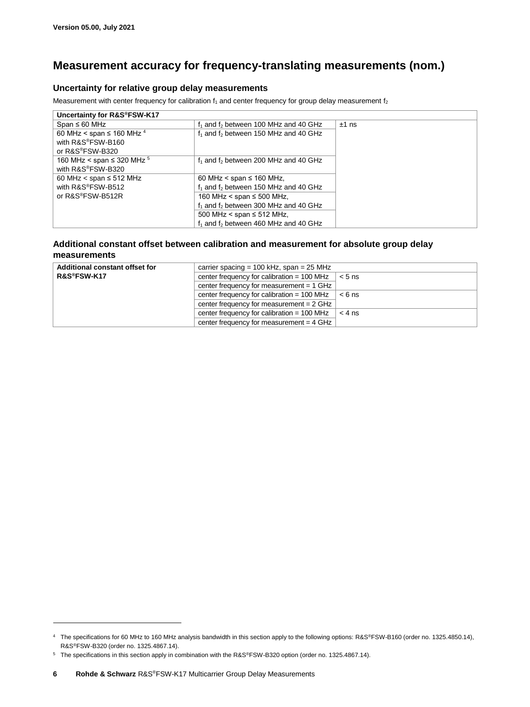## <span id="page-5-0"></span>**Measurement accuracy for frequency-translating measurements (nom.)**

#### **Uncertainty for relative group delay measurements**

Measurement with center frequency for calibration  $f_1$  and center frequency for group delay measurement  $f_2$ 

| Span $\leq 60$ MHz<br>$f_1$ and $f_2$ between 100 MHz and 40 GHz<br>$±1$ ns<br>60 MHz < span $\leq$ 160 MHz $^4$<br>$f_1$ and $f_2$ between 150 MHz and 40 GHz<br>with R&S®FSW-B160<br>or R&S®FSW-B320<br>160 MHz < span $\leq$ 320 MHz $^5$<br>$f_1$ and $f_2$ between 200 MHz and 40 GHz<br>with R&S®FSW-B320<br>60 MHz < span $\leq$ 512 MHz<br>60 MHz < span $\leq$ 160 MHz,<br>with R&S®FSW-B512<br>$f_1$ and $f_2$ between 150 MHz and 40 GHz<br>or R&S®FSW-B512R<br>160 MHz < span $\leq$ 500 MHz,<br>$f_1$ and $f_2$ between 300 MHz and 40 GHz<br>500 MHz < span $\leq$ 512 MHz, | Uncertainty for R&S®FSW-K17 |  |
|-------------------------------------------------------------------------------------------------------------------------------------------------------------------------------------------------------------------------------------------------------------------------------------------------------------------------------------------------------------------------------------------------------------------------------------------------------------------------------------------------------------------------------------------------------------------------------------------|-----------------------------|--|
|                                                                                                                                                                                                                                                                                                                                                                                                                                                                                                                                                                                           |                             |  |
|                                                                                                                                                                                                                                                                                                                                                                                                                                                                                                                                                                                           |                             |  |
|                                                                                                                                                                                                                                                                                                                                                                                                                                                                                                                                                                                           |                             |  |
| $f_1$ and $f_2$ between 460 MHz and 40 GHz                                                                                                                                                                                                                                                                                                                                                                                                                                                                                                                                                |                             |  |

#### **Additional constant offset between calibration and measurement for absolute group delay measurements**

| Additional constant offset for | carrier spacing = 100 kHz, span = $25$ MHz   |          |  |
|--------------------------------|----------------------------------------------|----------|--|
| R&S®FSW-K17                    | center frequency for calibration $= 100$ MHz | $< 5$ ns |  |
|                                | center frequency for measurement $= 1$ GHz   |          |  |
|                                | center frequency for calibration $= 100$ MHz | $< 6$ ns |  |
|                                | center frequency for measurement $= 2$ GHz   |          |  |
|                                | center frequency for calibration $= 100$ MHz | $< 4$ ns |  |
|                                | center frequency for measurement $=$ 4 GHz   |          |  |

 $\overline{a}$ 

<sup>4</sup> The specifications for 60 MHz to 160 MHz analysis bandwidth in this section apply to the following options: R&S®FSW-B160 (order no. 1325.4850.14), R&S®FSW-B320 (order no. 1325.4867.14).

<sup>5</sup> The specifications in this section apply in combination with the R&S®FSW-B320 option (order no. 1325.4867.14).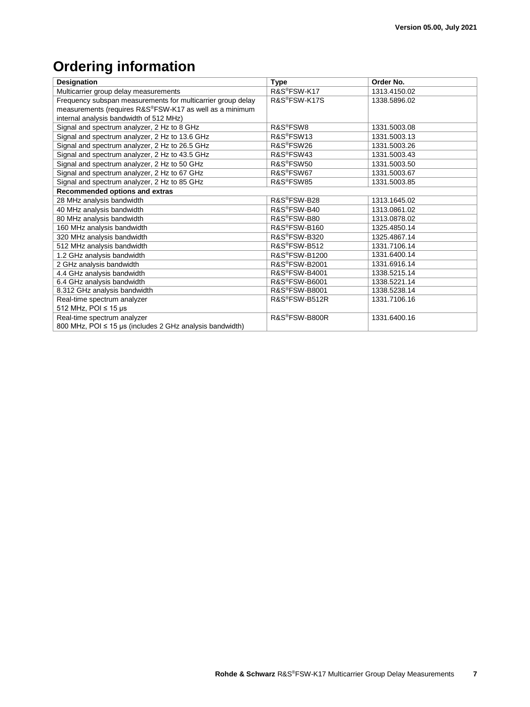## <span id="page-6-0"></span>**Ordering information**

| <b>Designation</b>                                          | <b>Type</b>                | Order No.    |
|-------------------------------------------------------------|----------------------------|--------------|
| Multicarrier group delay measurements                       | R&S®FSW-K17                | 1313.4150.02 |
| Frequency subspan measurements for multicarrier group delay | R&S <sup>®</sup> FSW-K17S  | 1338.5896.02 |
| measurements (requires R&S®FSW-K17 as well as a minimum     |                            |              |
| internal analysis bandwidth of 512 MHz)                     |                            |              |
| Signal and spectrum analyzer, 2 Hz to 8 GHz                 | R&S <sup>®</sup> FSW8      | 1331.5003.08 |
| Signal and spectrum analyzer, 2 Hz to 13.6 GHz              | R&S <sup>®</sup> FSW13     | 1331.5003.13 |
| Signal and spectrum analyzer, 2 Hz to 26.5 GHz              | R&S®FSW26                  | 1331.5003.26 |
| Signal and spectrum analyzer, 2 Hz to 43.5 GHz              | R&S <sup>®</sup> FSW43     | 1331.5003.43 |
| Signal and spectrum analyzer, 2 Hz to 50 GHz                | R&S <sup>®</sup> FSW50     | 1331.5003.50 |
| Signal and spectrum analyzer, 2 Hz to 67 GHz                | R&S <sup>®</sup> FSW67     | 1331.5003.67 |
| Signal and spectrum analyzer, 2 Hz to 85 GHz                | R&S®FSW85                  | 1331.5003.85 |
| Recommended options and extras                              |                            |              |
| 28 MHz analysis bandwidth                                   | R&S®FSW-B28                | 1313.1645.02 |
| 40 MHz analysis bandwidth                                   | R&S®FSW-B40                | 1313.0861.02 |
| 80 MHz analysis bandwidth                                   | R&S <sup>®</sup> FSW-B80   | 1313.0878.02 |
| 160 MHz analysis bandwidth                                  | R&S®FSW-B160               | 1325.4850.14 |
| 320 MHz analysis bandwidth                                  | R&S®FSW-B320               | 1325.4867.14 |
| 512 MHz analysis bandwidth                                  | R&S®FSW-B512               | 1331.7106.14 |
| 1.2 GHz analysis bandwidth                                  | R&S <sup>®</sup> FSW-B1200 | 1331.6400.14 |
| 2 GHz analysis bandwidth                                    | R&S <sup>®</sup> FSW-B2001 | 1331.6916.14 |
| 4.4 GHz analysis bandwidth                                  | R&S <sup>®</sup> FSW-B4001 | 1338.5215.14 |
| 6.4 GHz analysis bandwidth                                  | R&S®FSW-B6001              | 1338.5221.14 |
| 8.312 GHz analysis bandwidth                                | R&S <sup>®</sup> FSW-B8001 | 1338.5238.14 |
| Real-time spectrum analyzer                                 | R&S®FSW-B512R              | 1331.7106.16 |
| 512 MHz, POI ≤ 15 µs                                        |                            |              |
| Real-time spectrum analyzer                                 | R&S <sup>®</sup> FSW-B800R | 1331.6400.16 |
| 800 MHz, POI ≤ 15 µs (includes 2 GHz analysis bandwidth)    |                            |              |